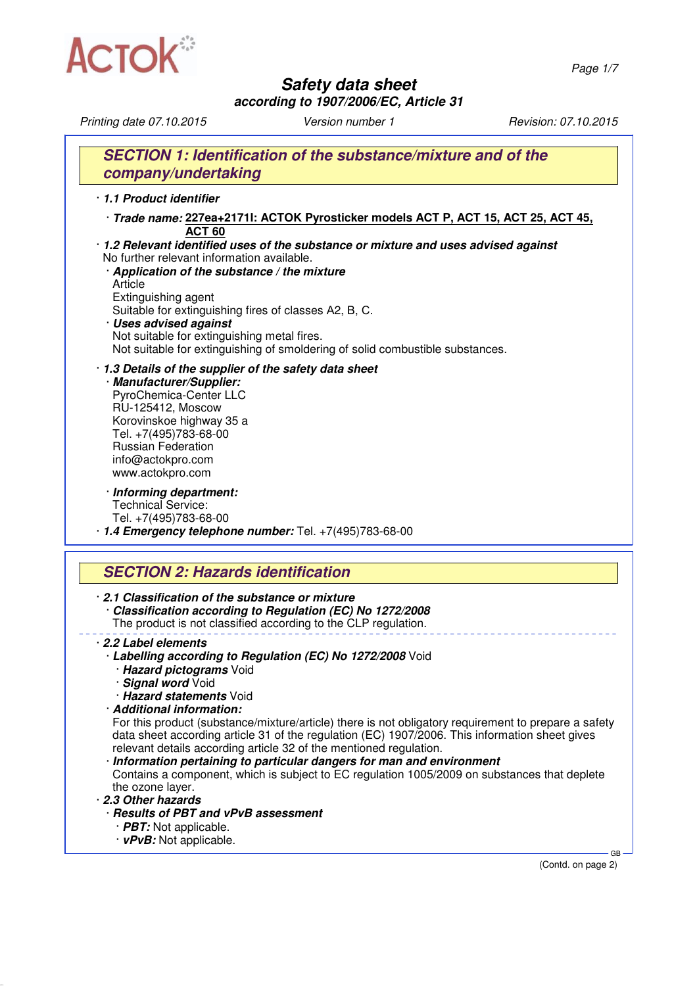

*Safety data sheet*

*according to 1907/2006/EC, Article 31*

*Printing date 07.10.2015 Version number 1 Revision: 07.10.2015*

|                                                       | SECTION 1: Identification of the substance/mixture and of the                                                                                                                                                                                |
|-------------------------------------------------------|----------------------------------------------------------------------------------------------------------------------------------------------------------------------------------------------------------------------------------------------|
| company/undertaking                                   |                                                                                                                                                                                                                                              |
| 1.1 Product identifier                                |                                                                                                                                                                                                                                              |
|                                                       | · Trade name: 227ea+21711: ACTOK Pyrosticker models ACT P, ACT 15, ACT 25, ACT 45,                                                                                                                                                           |
|                                                       | ACT <sub>60</sub>                                                                                                                                                                                                                            |
|                                                       | · 1.2 Relevant identified uses of the substance or mixture and uses advised against                                                                                                                                                          |
|                                                       | No further relevant information available.                                                                                                                                                                                                   |
|                                                       | Application of the substance / the mixture                                                                                                                                                                                                   |
| Article                                               |                                                                                                                                                                                                                                              |
| Extinguishing agent                                   | Suitable for extinguishing fires of classes A2, B, C.                                                                                                                                                                                        |
| · Uses advised against                                |                                                                                                                                                                                                                                              |
|                                                       | Not suitable for extinguishing metal fires.                                                                                                                                                                                                  |
|                                                       | Not suitable for extinguishing of smoldering of solid combustible substances.                                                                                                                                                                |
|                                                       | 1.3 Details of the supplier of the safety data sheet                                                                                                                                                                                         |
| · Manufacturer/Supplier:                              |                                                                                                                                                                                                                                              |
| PyroChemica-Center LLC                                |                                                                                                                                                                                                                                              |
| RU-125412, Moscow<br>Korovinskoe highway 35 a         |                                                                                                                                                                                                                                              |
| Tel. +7(495)783-68-00                                 |                                                                                                                                                                                                                                              |
| <b>Russian Federation</b>                             |                                                                                                                                                                                                                                              |
| info@actokpro.com                                     |                                                                                                                                                                                                                                              |
| www.actokpro.com                                      |                                                                                                                                                                                                                                              |
| · Informing department:                               |                                                                                                                                                                                                                                              |
| <b>Technical Service:</b>                             |                                                                                                                                                                                                                                              |
| Tel. +7(495)783-68-00                                 | 1.4 Emergency telephone number: Tel. +7(495)783-68-00                                                                                                                                                                                        |
|                                                       |                                                                                                                                                                                                                                              |
|                                                       | <b>SECTION 2: Hazards identification</b>                                                                                                                                                                                                     |
|                                                       | 2.1 Classification of the substance or mixture<br>Classification according to Regulation (EC) No 1272/2008<br>The product is not classified according to the CLP regulation.                                                                 |
|                                                       |                                                                                                                                                                                                                                              |
| 2.2 Label elements                                    |                                                                                                                                                                                                                                              |
|                                                       | Labelling according to Regulation (EC) No 1272/2008 Void                                                                                                                                                                                     |
| · Hazard pictograms Void                              |                                                                                                                                                                                                                                              |
| · Signal word Void                                    |                                                                                                                                                                                                                                              |
| · Hazard statements Void<br>· Additional information: |                                                                                                                                                                                                                                              |
|                                                       |                                                                                                                                                                                                                                              |
|                                                       | data sheet according article 31 of the regulation (EC) 1907/2006. This information sheet gives                                                                                                                                               |
|                                                       | relevant details according article 32 of the mentioned regulation.                                                                                                                                                                           |
|                                                       | Information pertaining to particular dangers for man and environment                                                                                                                                                                         |
| the ozone layer.                                      |                                                                                                                                                                                                                                              |
| 2.3 Other hazards                                     |                                                                                                                                                                                                                                              |
|                                                       | For this product (substance/mixture/article) there is not obligatory requirement to prepare a safety<br>Contains a component, which is subject to EC regulation 1005/2009 on substances that deplete<br>· Results of PBT and vPvB assessment |
| · PBT: Not applicable.<br>· vPvB: Not applicable.     |                                                                                                                                                                                                                                              |

(Contd. on page 2)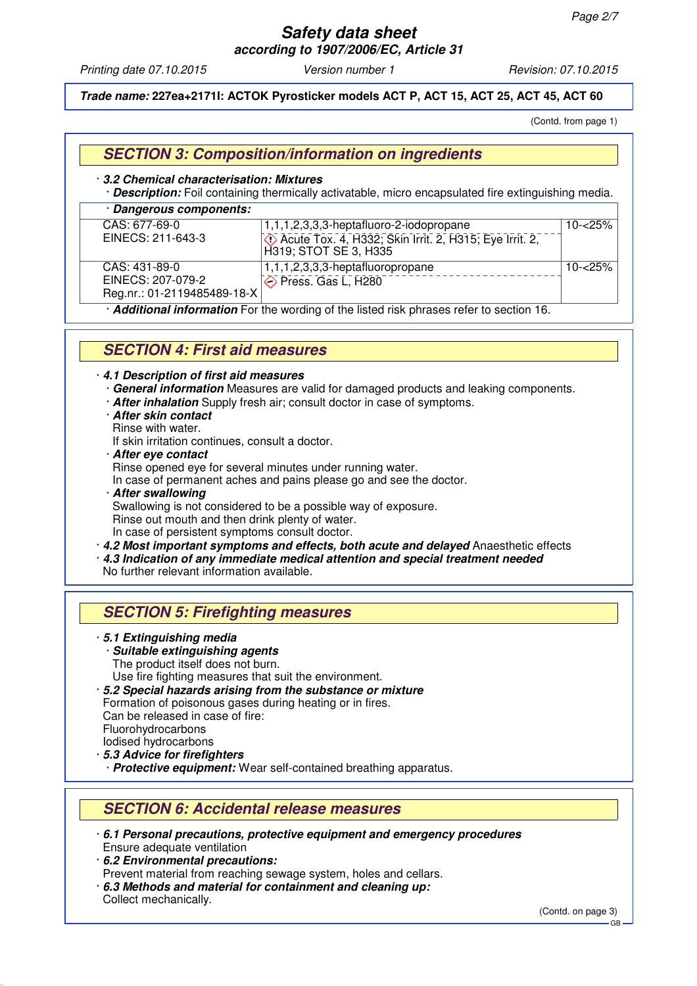# *Safety data sheet*

*according to 1907/2006/EC, Article 31*

*Printing date 07.10.2015 Version number 1 Revision: 07.10.2015*

#### *Trade name:* **227ea+2171I: ACTOK Pyrosticker models ACT P, ACT 15, ACT 25, ACT 45, ACT 60**

(Contd. from page 1)

### *SECTION 3: Composition/information on ingredients*

#### · *3.2 Chemical characterisation: Mixtures*

· *Description:* Foil containing thermically activatable, micro encapsulated fire extinguishing media.

| · Dangerous components:                                                                |                                                                                 |            |  |  |
|----------------------------------------------------------------------------------------|---------------------------------------------------------------------------------|------------|--|--|
| CAS: 677-69-0                                                                          | 1,1,1,2,3,3,3-heptafluoro-2-iodopropane                                         | $10 - 25%$ |  |  |
| EINECS: 211-643-3                                                                      | Acute Tox. 4, H332; Skin Irrit. 2, H315; Eye Irrit. 2,<br>H319; STOT SE 3, H335 |            |  |  |
| CAS: 431-89-0                                                                          | 1,1,1,2,3,3,3-heptafluoropropane                                                | $10 - 25%$ |  |  |
| EINECS: 207-079-2                                                                      | Press. Gas L, H280                                                              |            |  |  |
| Reg.nr.: 01-2119485489-18-X                                                            |                                                                                 |            |  |  |
| Additional information For the wording of the listed risk phrases refer to section 16. |                                                                                 |            |  |  |

### *SECTION 4: First aid measures*

#### · *4.1 Description of first aid measures*

- · *General information* Measures are valid for damaged products and leaking components.
- · *After inhalation* Supply fresh air; consult doctor in case of symptoms.
- · *After skin contact*
- Rinse with water.

If skin irritation continues, consult a doctor.

· *After eye contact*

Rinse opened eye for several minutes under running water.

In case of permanent aches and pains please go and see the doctor.

· *After swallowing* Swallowing is not considered to be a possible way of exposure. Rinse out mouth and then drink plenty of water. In case of persistent symptoms consult doctor.

· *4.2 Most important symptoms and effects, both acute and delayed* Anaesthetic effects

· *4.3 Indication of any immediate medical attention and special treatment needed*

No further relevant information available.

### *SECTION 5: Firefighting measures*

#### · *5.1 Extinguishing media*

- · *Suitable extinguishing agents*
- The product itself does not burn.
- Use fire fighting measures that suit the environment.
- · *5.2 Special hazards arising from the substance or mixture* Formation of poisonous gases during heating or in fires. Can be released in case of fire: Fluorohydrocarbons
- Iodised hydrocarbons
- · *5.3 Advice for firefighters*
- · *Protective equipment:* Wear self-contained breathing apparatus.

### *SECTION 6: Accidental release measures*

- · *6.1 Personal precautions, protective equipment and emergency procedures* Ensure adequate ventilation
- · *6.2 Environmental precautions:* Prevent material from reaching sewage system, holes and cellars.
- · *6.3 Methods and material for containment and cleaning up:* Collect mechanically.

(Contd. on page 3)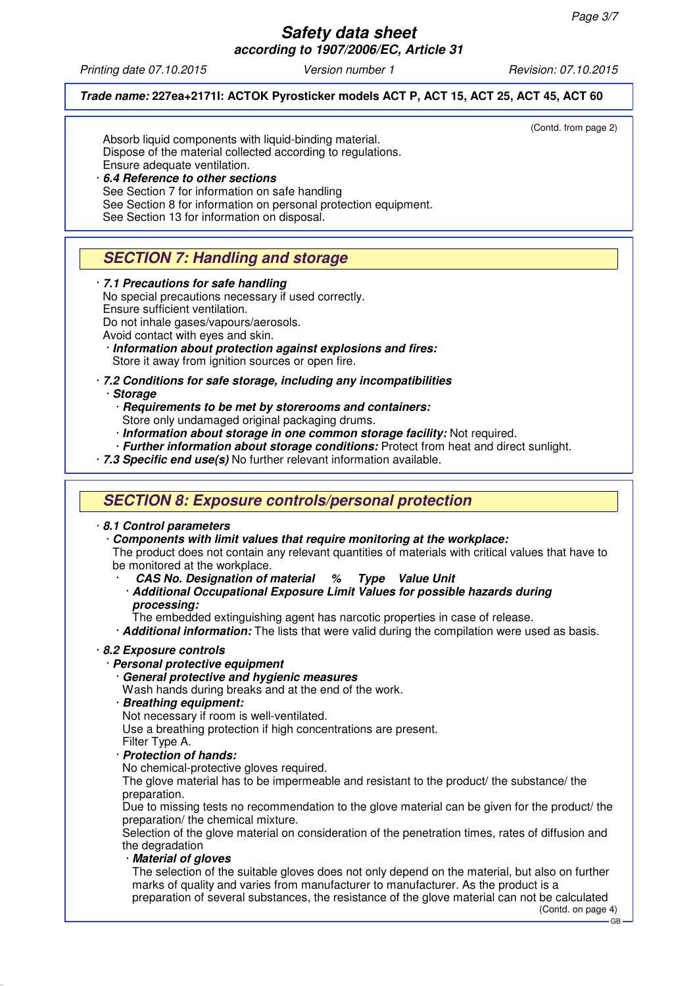GB

### *Safety data sheet according to 1907/2006/EC, Article 31*

*Printing date 07.10.2015 Version number 1 Revision: 07.10.2015*

#### *Trade name:* **227ea+2171I: ACTOK Pyrosticker models ACT P, ACT 15, ACT 25, ACT 45, ACT 60**

(Contd. from page 2)

Absorb liquid components with liquid-binding material. Dispose of the material collected according to regulations. Ensure adequate ventilation. · *6.4 Reference to other sections*

See Section 7 for information on safe handling See Section 8 for information on personal protection equipment. See Section 13 for information on disposal.

## *SECTION 7: Handling and storage*

· *7.1 Precautions for safe handling*

No special precautions necessary if used correctly. Ensure sufficient ventilation. Do not inhale gases/vapours/aerosols.

Avoid contact with eyes and skin.

- · *Information about protection against explosions and fires:* Store it away from ignition sources or open fire.
- · *7.2 Conditions for safe storage, including any incompatibilities*

· *Storage*

- · *Requirements to be met by storerooms and containers:* Store only undamaged original packaging drums.
- · *Information about storage in one common storage facility:* Not required.
- · *Further information about storage conditions:* Protect from heat and direct sunlight.
- · *7.3 Specific end use(s)* No further relevant information available.

## *SECTION 8: Exposure controls/personal protection*

#### · *8.1 Control parameters*

· *Components with limit values that require monitoring at the workplace:* The product does not contain any relevant quantities of materials with critical values that have to be monitored at the workplace.

- · *CAS No. Designation of material % Type Value Unit*
- · *Additional Occupational Exposure Limit Values for possible hazards during processing:*

The embedded extinguishing agent has narcotic properties in case of release.

· *Additional information:* The lists that were valid during the compilation were used as basis.

#### · *8.2 Exposure controls*

#### · *Personal protective equipment*

· *General protective and hygienic measures*

Wash hands during breaks and at the end of the work.

- · *Breathing equipment:*
- Not necessary if room is well-ventilated.

Use a breathing protection if high concentrations are present.

- Filter Type A.
- · *Protection of hands:*

No chemical-protective gloves required.

The glove material has to be impermeable and resistant to the product/ the substance/ the preparation.

Due to missing tests no recommendation to the glove material can be given for the product/ the preparation/ the chemical mixture.

Selection of the glove material on consideration of the penetration times, rates of diffusion and the degradation

· *Material of gloves*

The selection of the suitable gloves does not only depend on the material, but also on further marks of quality and varies from manufacturer to manufacturer. As the product is a preparation of several substances, the resistance of the glove material can not be calculated (Contd. on page 4)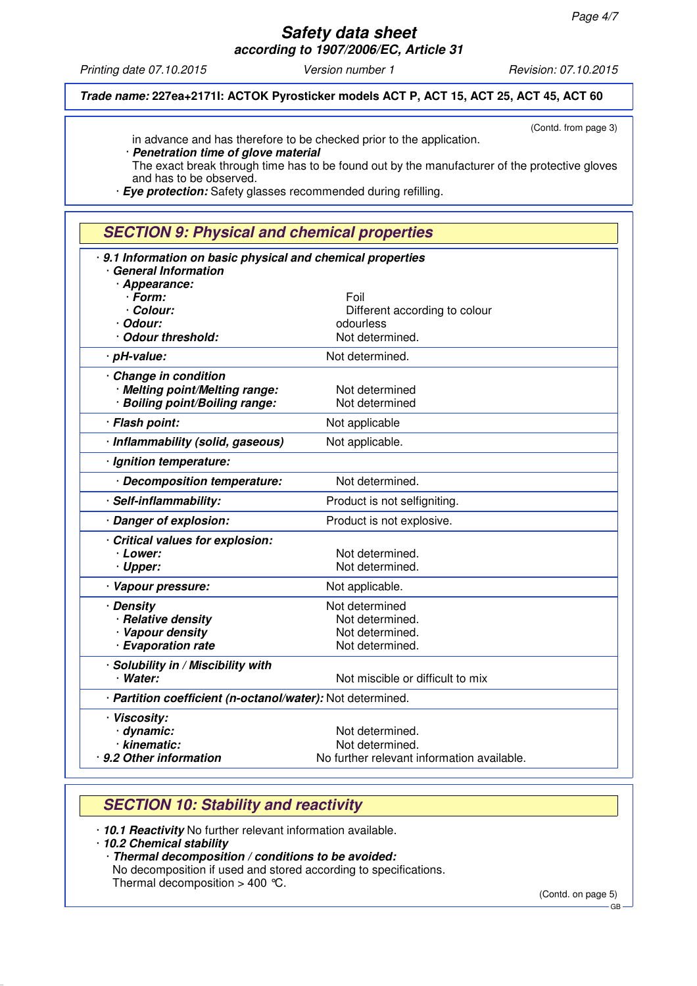*Printing date 07.10.2015 Version number 1 Revision: 07.10.2015*

(Contd. from page 3)

*Trade name:* **227ea+2171I: ACTOK Pyrosticker models ACT P, ACT 15, ACT 25, ACT 45, ACT 60**

in advance and has therefore to be checked prior to the application.

· *Penetration time of glove material* The exact break through time has to be found out by the manufacturer of the protective gloves and has to be observed.

· *Eye protection:* Safety glasses recommended during refilling.

## *SECTION 9: Physical and chemical properties*

| 9.1 Information on basic physical and chemical properties  |                                            |  |
|------------------------------------------------------------|--------------------------------------------|--|
| <b>General Information</b><br>· Appearance:                |                                            |  |
| · Form:                                                    | Foil                                       |  |
| · Colour:                                                  | Different according to colour              |  |
| · Odour:                                                   | odourless                                  |  |
| · Odour threshold:                                         | Not determined.                            |  |
| · pH-value:                                                | Not determined.                            |  |
|                                                            |                                            |  |
| · Change in condition                                      |                                            |  |
| · Melting point/Melting range:                             | Not determined<br>Not determined           |  |
| · Boiling point/Boiling range:                             |                                            |  |
| · Flash point:                                             | Not applicable                             |  |
| · Inflammability (solid, gaseous)                          | Not applicable.                            |  |
| · Ignition temperature:                                    |                                            |  |
| · Decomposition temperature:                               | Not determined.                            |  |
| · Self-inflammability:                                     | Product is not selfigniting.               |  |
| · Danger of explosion:                                     | Product is not explosive.                  |  |
| Critical values for explosion:                             |                                            |  |
| · Lower:                                                   | Not determined.                            |  |
| · Upper:                                                   | Not determined.                            |  |
| · Vapour pressure:                                         | Not applicable.                            |  |
| · Density                                                  | Not determined                             |  |
| · Relative density                                         | Not determined.                            |  |
| · Vapour density                                           | Not determined.                            |  |
| · Evaporation rate                                         | Not determined.                            |  |
| · Solubility in / Miscibility with                         |                                            |  |
| · Water:                                                   | Not miscible or difficult to mix           |  |
| · Partition coefficient (n-octanol/water): Not determined. |                                            |  |
| · Viscosity:                                               |                                            |  |
| dynamic:                                                   | Not determined.                            |  |
| · kinematic:                                               | Not determined.                            |  |
| 9.2 Other information                                      | No further relevant information available. |  |

## *SECTION 10: Stability and reactivity*

· *10.1 Reactivity* No further relevant information available.

· *10.2 Chemical stability*

· *Thermal decomposition / conditions to be avoided:*

No decomposition if used and stored according to specifications.

Thermal decomposition  $> 400$  °C.

(Contd. on page 5)

GB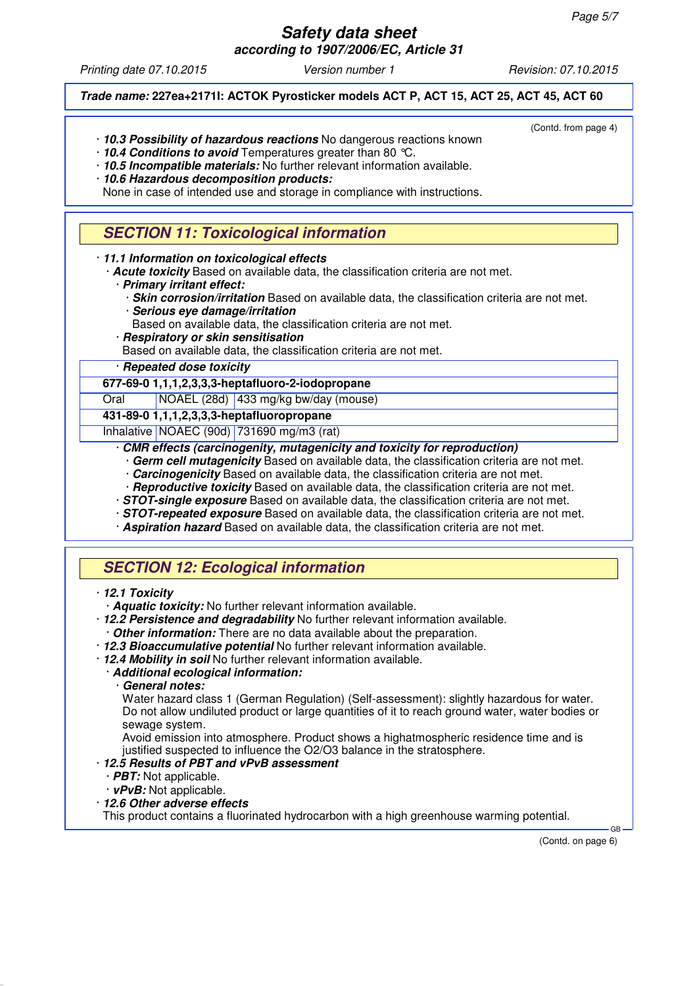*Printing date 07.10.2015 Version number 1 Revision: 07.10.2015*

#### *Trade name:* **227ea+2171I: ACTOK Pyrosticker models ACT P, ACT 15, ACT 25, ACT 45, ACT 60**

(Contd. from page 4)

- · *10.3 Possibility of hazardous reactions* No dangerous reactions known
- · *10.4 Conditions to avoid* Temperatures greater than 80 °C.
- · *10.5 Incompatible materials:* No further relevant information available.
- · *10.6 Hazardous decomposition products:*

None in case of intended use and storage in compliance with instructions.

## *SECTION 11: Toxicological information*

· *11.1 Information on toxicological effects*

· *Acute toxicity* Based on available data, the classification criteria are not met.

- · *Primary irritant effect:*
	- · *Skin corrosion/irritation* Based on available data, the classification criteria are not met.
	- · *Serious eye damage/irritation*
- Based on available data, the classification criteria are not met.
- · *Respiratory or skin sensitisation*

Based on available data, the classification criteria are not met.

#### · *Repeated dose toxicity*

**677-69-0 1,1,1,2,3,3,3-heptafluoro-2-iodopropane**

Oral NOAEL (28d) 433 mg/kg bw/day (mouse)

**431-89-0 1,1,1,2,3,3,3-heptafluoropropane**

Inhalative NOAEC (90d) 731690 mg/m3 (rat)

#### · *CMR effects (carcinogenity, mutagenicity and toxicity for reproduction)*

- Germ cell mutagenicity Based on available data, the classification criteria are not met.
- **Carcinogenicity** Based on available data, the classification criteria are not met.
- · *Reproductive toxicity* Based on available data, the classification criteria are not met.
- · *STOT-single exposure* Based on available data, the classification criteria are not met.
- · *STOT-repeated exposure* Based on available data, the classification criteria are not met.
- · *Aspiration hazard* Based on available data, the classification criteria are not met.

## *SECTION 12: Ecological information*

#### · *12.1 Toxicity*

· *Aquatic toxicity:* No further relevant information available.

· *12.2 Persistence and degradability* No further relevant information available. · *Other information:* There are no data available about the preparation.

- · *12.3 Bioaccumulative potential* No further relevant information available.
- · *12.4 Mobility in soil* No further relevant information available.

#### · *Additional ecological information:*

· *General notes:*

Water hazard class 1 (German Regulation) (Self-assessment): slightly hazardous for water. Do not allow undiluted product or large quantities of it to reach ground water, water bodies or sewage system.

Avoid emission into atmosphere. Product shows a highatmospheric residence time and is justified suspected to influence the O2/O3 balance in the stratosphere.

#### · *12.5 Results of PBT and vPvB assessment*

· *PBT:* Not applicable.

· *vPvB:* Not applicable.

· *12.6 Other adverse effects*

This product contains a fluorinated hydrocarbon with a high greenhouse warming potential.

(Contd. on page 6)

GB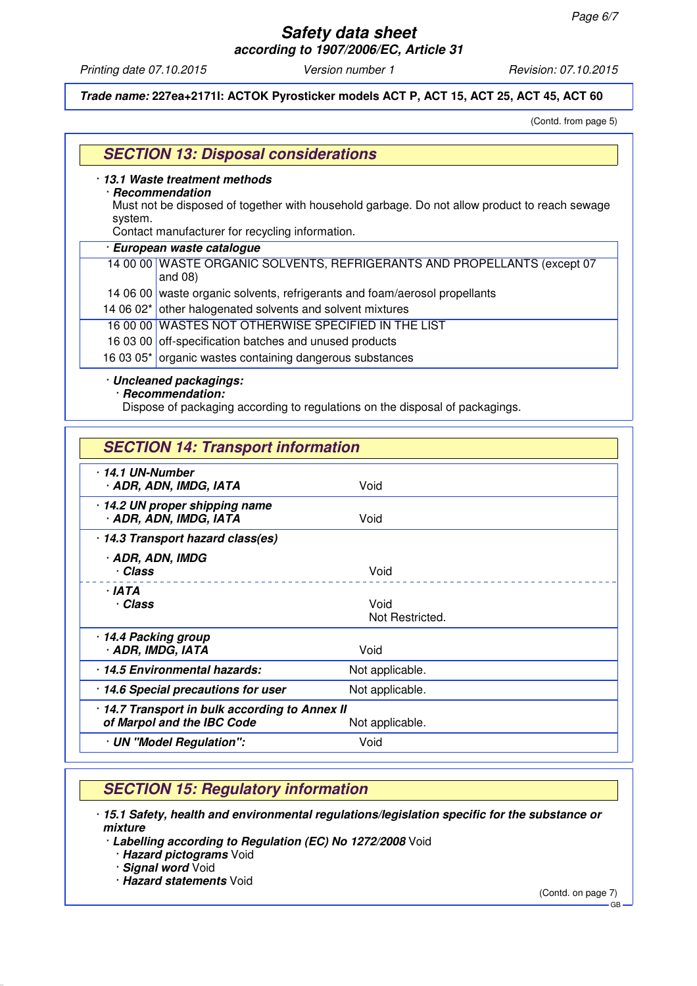*Printing date 07.10.2015 Version number 1 Revision: 07.10.2015*

*Trade name:* **227ea+2171I: ACTOK Pyrosticker models ACT P, ACT 15, ACT 25, ACT 45, ACT 60**

(Contd. from page 5)

|         | 13.1 Waste treatment methods<br>· Recommendation                                              |
|---------|-----------------------------------------------------------------------------------------------|
| system. | Must not be disposed of together with household garbage. Do not allow product to reach sewage |
|         | Contact manufacturer for recycling information.                                               |
|         | · European waste catalogue                                                                    |
|         | 14 00 00 WASTE ORGANIC SOLVENTS, REFRIGERANTS AND PROPELLANTS (except 07<br>and $08$ )        |
|         | 14 06 00 waste organic solvents, refrigerants and foam/aerosol propellants                    |
|         | 14 06 02* other halogenated solvents and solvent mixtures                                     |
|         | 16 00 00 WASTES NOT OTHERWISE SPECIFIED IN THE LIST                                           |
|         | 16 03 00 off-specification batches and unused products                                        |
|         | 16 03 05* organic wastes containing dangerous substances                                      |

Dispose of packaging according to regulations on the disposal of packagings.

## *SECTION 14: Transport information*

| $\cdot$ 14.1 UN-Number<br>· ADR, ADN, IMDG, IATA                                                | Void                    |  |
|-------------------------------------------------------------------------------------------------|-------------------------|--|
| 14.2 UN proper shipping name<br>· ADR, ADN, IMDG, IATA                                          | Void                    |  |
| 14.3 Transport hazard class(es)                                                                 |                         |  |
| · ADR, ADN, IMDG<br>· Class                                                                     | Void                    |  |
| · IATA<br>· Class                                                                               | Void<br>Not Restricted. |  |
| 14.4 Packing group<br>· ADR, IMDG, IATA                                                         | Void                    |  |
| 14.5 Environmental hazards:                                                                     | Not applicable.         |  |
| 14.6 Special precautions for user                                                               | Not applicable.         |  |
| · 14.7 Transport in bulk according to Annex II<br>of Marpol and the IBC Code<br>Not applicable. |                         |  |
| · UN "Model Regulation":                                                                        | Void                    |  |

## *SECTION 15: Regulatory information*

· *15.1 Safety, health and environmental regulations/legislation specific for the substance or mixture*

· *Labelling according to Regulation (EC) No 1272/2008* Void

· *Hazard pictograms* Void

· *Signal word* Void

· *Hazard statements* Void

(Contd. on page 7)

GB